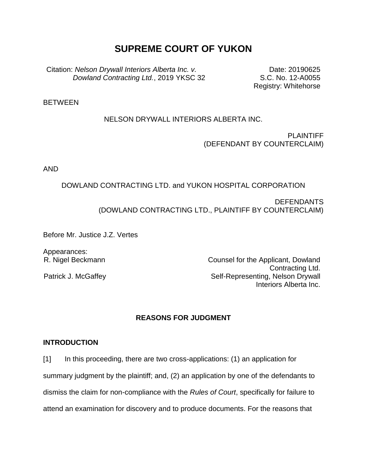# **SUPREME COURT OF YUKON**

Citation: *Nelson Drywall Interiors Alberta Inc. v. Dowland Contracting Ltd.*, 2019 YKSC 32

Date: 20190625 S.C. No. 12-A0055 Registry: Whitehorse

**BETWEEN** 

## NELSON DRYWALL INTERIORS ALBERTA INC.

PLAINTIFF (DEFENDANT BY COUNTERCLAIM)

AND

## DOWLAND CONTRACTING LTD. and YUKON HOSPITAL CORPORATION

**DEFENDANTS** (DOWLAND CONTRACTING LTD., PLAINTIFF BY COUNTERCLAIM)

Before Mr. Justice J.Z. Vertes

Appearances: R. Nigel Beckmann

Patrick J. McGaffey

Counsel for the Applicant, Dowland Contracting Ltd. Self-Representing, Nelson Drywall Interiors Alberta Inc.

## **REASONS FOR JUDGMENT**

#### **INTRODUCTION**

[1] In this proceeding, there are two cross-applications: (1) an application for summary judgment by the plaintiff; and, (2) an application by one of the defendants to dismiss the claim for non-compliance with the *Rules of Court*, specifically for failure to attend an examination for discovery and to produce documents. For the reasons that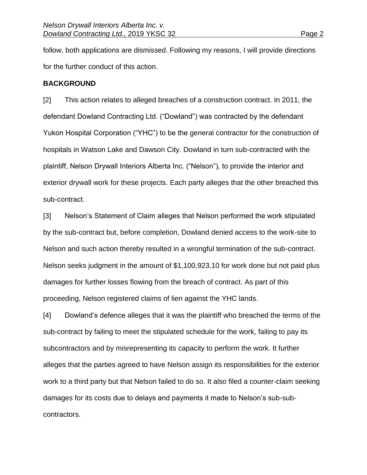follow, both applications are dismissed. Following my reasons, I will provide directions for the further conduct of this action.

#### **BACKGROUND**

[2] This action relates to alleged breaches of a construction contract. In 2011, the defendant Dowland Contracting Ltd. ("Dowland") was contracted by the defendant Yukon Hospital Corporation ("YHC") to be the general contractor for the construction of hospitals in Watson Lake and Dawson City. Dowland in turn sub-contracted with the plaintiff, Nelson Drywall Interiors Alberta Inc. ("Nelson"), to provide the interior and exterior drywall work for these projects. Each party alleges that the other breached this sub-contract.

[3] Nelson's Statement of Claim alleges that Nelson performed the work stipulated by the sub-contract but, before completion, Dowland denied access to the work-site to Nelson and such action thereby resulted in a wrongful termination of the sub-contract. Nelson seeks judgment in the amount of \$1,100,923.10 for work done but not paid plus damages for further losses flowing from the breach of contract. As part of this proceeding, Nelson registered claims of lien against the YHC lands.

[4] Dowland's defence alleges that it was the plaintiff who breached the terms of the sub-contract by failing to meet the stipulated schedule for the work, failing to pay its subcontractors and by misrepresenting its capacity to perform the work. It further alleges that the parties agreed to have Nelson assign its responsibilities for the exterior work to a third party but that Nelson failed to do so. It also filed a counter-claim seeking damages for its costs due to delays and payments it made to Nelson's sub-subcontractors.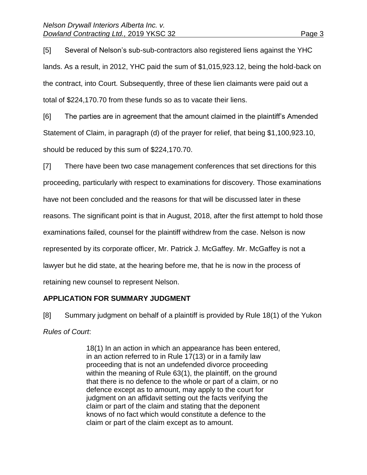[5] Several of Nelson's sub-sub-contractors also registered liens against the YHC lands. As a result, in 2012, YHC paid the sum of \$1,015,923.12, being the hold-back on the contract, into Court. Subsequently, three of these lien claimants were paid out a total of \$224,170.70 from these funds so as to vacate their liens.

[6] The parties are in agreement that the amount claimed in the plaintiff's Amended Statement of Claim, in paragraph (d) of the prayer for relief, that being \$1,100,923.10, should be reduced by this sum of \$224,170.70.

[7] There have been two case management conferences that set directions for this proceeding, particularly with respect to examinations for discovery. Those examinations have not been concluded and the reasons for that will be discussed later in these reasons. The significant point is that in August, 2018, after the first attempt to hold those examinations failed, counsel for the plaintiff withdrew from the case. Nelson is now represented by its corporate officer, Mr. Patrick J. McGaffey. Mr. McGaffey is not a lawyer but he did state, at the hearing before me, that he is now in the process of retaining new counsel to represent Nelson.

### **APPLICATION FOR SUMMARY JUDGMENT**

[8] Summary judgment on behalf of a plaintiff is provided by Rule 18(1) of the Yukon *Rules of Court*:

> 18(1) In an action in which an appearance has been entered, in an action referred to in Rule 17(13) or in a family law proceeding that is not an undefended divorce proceeding within the meaning of Rule 63(1), the plaintiff, on the ground that there is no defence to the whole or part of a claim, or no defence except as to amount, may apply to the court for judgment on an affidavit setting out the facts verifying the claim or part of the claim and stating that the deponent knows of no fact which would constitute a defence to the claim or part of the claim except as to amount.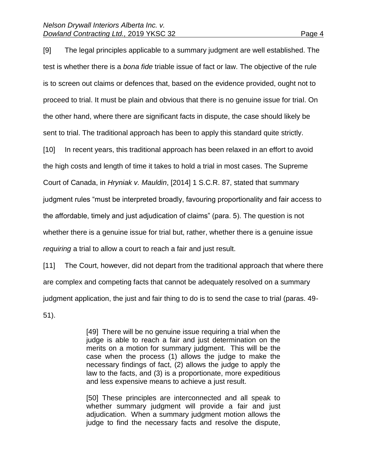[9] The legal principles applicable to a summary judgment are well established. The test is whether there is a *bona fide* triable issue of fact or law. The objective of the rule is to screen out claims or defences that, based on the evidence provided, ought not to proceed to trial. It must be plain and obvious that there is no genuine issue for trial. On the other hand, where there are significant facts in dispute, the case should likely be sent to trial. The traditional approach has been to apply this standard quite strictly.

[10] In recent years, this traditional approach has been relaxed in an effort to avoid the high costs and length of time it takes to hold a trial in most cases. The Supreme Court of Canada, in *Hryniak v. Mauldin*, [2014] 1 S.C.R. 87, stated that summary judgment rules "must be interpreted broadly, favouring proportionality and fair access to the affordable, timely and just adjudication of claims" (para. 5). The question is not whether there is a genuine issue for trial but, rather, whether there is a genuine issue *requiring* a trial to allow a court to reach a fair and just result.

[11] The Court, however, did not depart from the traditional approach that where there are complex and competing facts that cannot be adequately resolved on a summary judgment application, the just and fair thing to do is to send the case to trial (paras. 49- 51).

> [49] There will be no genuine issue requiring a trial when the judge is able to reach a fair and just determination on the merits on a motion for summary judgment. This will be the case when the process (1) allows the judge to make the necessary findings of fact, (2) allows the judge to apply the law to the facts, and (3) is a proportionate, more expeditious and less expensive means to achieve a just result.

> [50] These principles are interconnected and all speak to whether summary judgment will provide a fair and just adjudication. When a summary judgment motion allows the judge to find the necessary facts and resolve the dispute,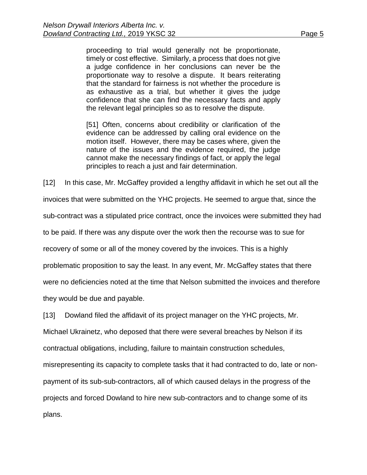proceeding to trial would generally not be proportionate, timely or cost effective. Similarly, a process that does not give a judge confidence in her conclusions can never be the proportionate way to resolve a dispute. It bears reiterating that the standard for fairness is not whether the procedure is as exhaustive as a trial, but whether it gives the judge confidence that she can find the necessary facts and apply the relevant legal principles so as to resolve the dispute.

[51] Often, concerns about credibility or clarification of the evidence can be addressed by calling oral evidence on the motion itself. However, there may be cases where, given the nature of the issues and the evidence required, the judge cannot make the necessary findings of fact, or apply the legal principles to reach a just and fair determination.

[12] In this case, Mr. McGaffey provided a lengthy affidavit in which he set out all the invoices that were submitted on the YHC projects. He seemed to argue that, since the sub-contract was a stipulated price contract, once the invoices were submitted they had to be paid. If there was any dispute over the work then the recourse was to sue for recovery of some or all of the money covered by the invoices. This is a highly problematic proposition to say the least. In any event, Mr. McGaffey states that there were no deficiencies noted at the time that Nelson submitted the invoices and therefore they would be due and payable.

[13] Dowland filed the affidavit of its project manager on the YHC projects, Mr.

Michael Ukrainetz, who deposed that there were several breaches by Nelson if its

contractual obligations, including, failure to maintain construction schedules,

misrepresenting its capacity to complete tasks that it had contracted to do, late or non-

payment of its sub-sub-contractors, all of which caused delays in the progress of the

projects and forced Dowland to hire new sub-contractors and to change some of its plans.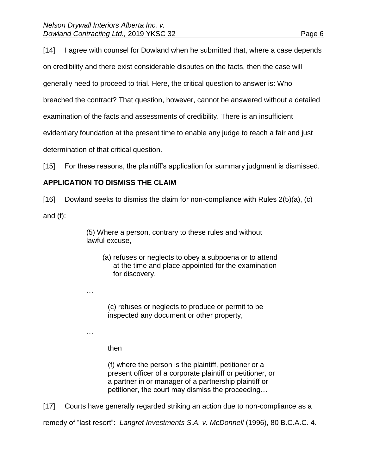[14] I agree with counsel for Dowland when he submitted that, where a case depends on credibility and there exist considerable disputes on the facts, then the case will generally need to proceed to trial. Here, the critical question to answer is: Who breached the contract? That question, however, cannot be answered without a detailed examination of the facts and assessments of credibility. There is an insufficient evidentiary foundation at the present time to enable any judge to reach a fair and just determination of that critical question.

[15] For these reasons, the plaintiff's application for summary judgment is dismissed.

## **APPLICATION TO DISMISS THE CLAIM**

[16] Dowland seeks to dismiss the claim for non-compliance with Rules 2(5)(a), (c) and (f):

> (5) Where a person, contrary to these rules and without lawful excuse,

(a) refuses or neglects to obey a subpoena or to attend at the time and place appointed for the examination for discovery,

(c) refuses or neglects to produce or permit to be inspected any document or other property,

…

…

then

(f) where the person is the plaintiff, petitioner or a present officer of a corporate plaintiff or petitioner, or a partner in or manager of a partnership plaintiff or petitioner, the court may dismiss the proceeding…

[17] Courts have generally regarded striking an action due to non-compliance as a remedy of "last resort": *Langret Investments S.A. v. McDonnell* (1996), 80 B.C.A.C. 4.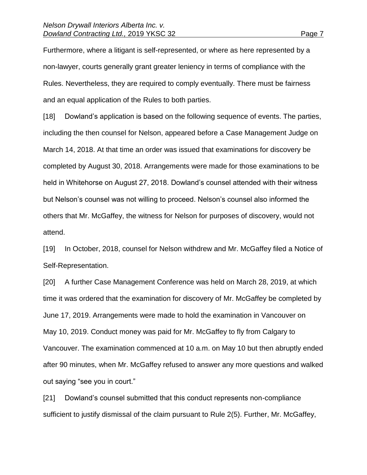Furthermore, where a litigant is self-represented, or where as here represented by a non-lawyer, courts generally grant greater leniency in terms of compliance with the Rules. Nevertheless, they are required to comply eventually. There must be fairness and an equal application of the Rules to both parties.

[18] Dowland's application is based on the following sequence of events. The parties, including the then counsel for Nelson, appeared before a Case Management Judge on March 14, 2018. At that time an order was issued that examinations for discovery be completed by August 30, 2018. Arrangements were made for those examinations to be held in Whitehorse on August 27, 2018. Dowland's counsel attended with their witness but Nelson's counsel was not willing to proceed. Nelson's counsel also informed the others that Mr. McGaffey, the witness for Nelson for purposes of discovery, would not attend.

[19] In October, 2018, counsel for Nelson withdrew and Mr. McGaffey filed a Notice of Self-Representation.

[20] A further Case Management Conference was held on March 28, 2019, at which time it was ordered that the examination for discovery of Mr. McGaffey be completed by June 17, 2019. Arrangements were made to hold the examination in Vancouver on May 10, 2019. Conduct money was paid for Mr. McGaffey to fly from Calgary to Vancouver. The examination commenced at 10 a.m. on May 10 but then abruptly ended after 90 minutes, when Mr. McGaffey refused to answer any more questions and walked out saying "see you in court."

[21] Dowland's counsel submitted that this conduct represents non-compliance sufficient to justify dismissal of the claim pursuant to Rule 2(5). Further, Mr. McGaffey,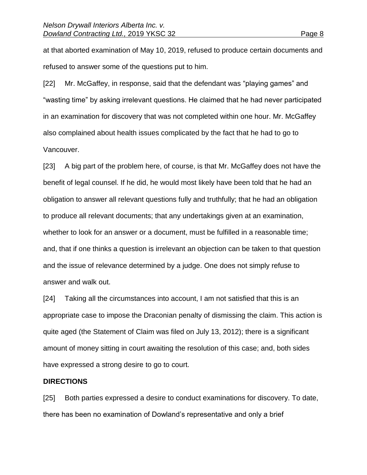at that aborted examination of May 10, 2019, refused to produce certain documents and refused to answer some of the questions put to him.

[22] Mr. McGaffey, in response, said that the defendant was "playing games" and "wasting time" by asking irrelevant questions. He claimed that he had never participated in an examination for discovery that was not completed within one hour. Mr. McGaffey also complained about health issues complicated by the fact that he had to go to Vancouver.

[23] A big part of the problem here, of course, is that Mr. McGaffey does not have the benefit of legal counsel. If he did, he would most likely have been told that he had an obligation to answer all relevant questions fully and truthfully; that he had an obligation to produce all relevant documents; that any undertakings given at an examination, whether to look for an answer or a document, must be fulfilled in a reasonable time; and, that if one thinks a question is irrelevant an objection can be taken to that question and the issue of relevance determined by a judge. One does not simply refuse to answer and walk out.

[24] Taking all the circumstances into account, I am not satisfied that this is an appropriate case to impose the Draconian penalty of dismissing the claim. This action is quite aged (the Statement of Claim was filed on July 13, 2012); there is a significant amount of money sitting in court awaiting the resolution of this case; and, both sides have expressed a strong desire to go to court.

#### **DIRECTIONS**

[25] Both parties expressed a desire to conduct examinations for discovery. To date, there has been no examination of Dowland's representative and only a brief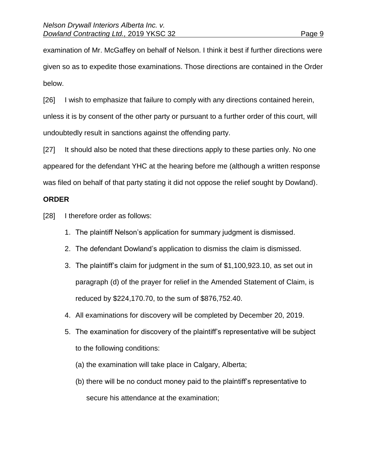examination of Mr. McGaffey on behalf of Nelson. I think it best if further directions were given so as to expedite those examinations. Those directions are contained in the Order below.

[26] I wish to emphasize that failure to comply with any directions contained herein, unless it is by consent of the other party or pursuant to a further order of this court, will undoubtedly result in sanctions against the offending party.

[27] It should also be noted that these directions apply to these parties only. No one appeared for the defendant YHC at the hearing before me (although a written response was filed on behalf of that party stating it did not oppose the relief sought by Dowland).

#### **ORDER**

[28] I therefore order as follows:

- 1. The plaintiff Nelson's application for summary judgment is dismissed.
- 2. The defendant Dowland's application to dismiss the claim is dismissed.
- 3. The plaintiff's claim for judgment in the sum of \$1,100,923.10, as set out in paragraph (d) of the prayer for relief in the Amended Statement of Claim, is reduced by \$224,170.70, to the sum of \$876,752.40.
- 4. All examinations for discovery will be completed by December 20, 2019.
- 5. The examination for discovery of the plaintiff's representative will be subject to the following conditions:
	- (a) the examination will take place in Calgary, Alberta;
	- (b) there will be no conduct money paid to the plaintiff's representative to secure his attendance at the examination;